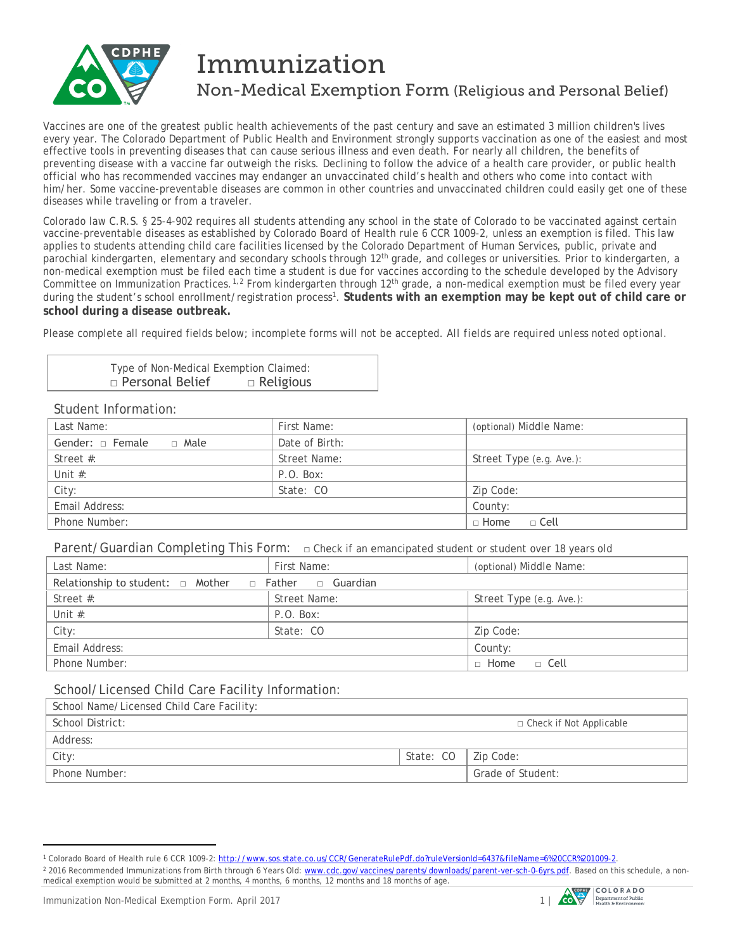

# Immunization

# Non-Medical Exemption Form (Religious and Personal Belief)

Vaccines are one of the greatest public health achievements of the past century and save an estimated 3 million children's lives every year. The Colorado Department of Public Health and Environment strongly supports vaccination as one of the easiest and most effective tools in preventing diseases that can cause serious illness and even death. For nearly all children, the benefits of preventing disease with a vaccine far outweigh the risks. Declining to follow the advice of a health care provider, or public health official who has recommended vaccines may endanger an unvaccinated child's health and others who come into contact with him/her. Some vaccine-preventable diseases are common in other countries and unvaccinated children could easily get one of these diseases while traveling or from a traveler.

Colorado law C.R.S. § 25-4-902 requires all students attending any school in the state of Colorado to be vaccinated against certain vaccine-preventable diseases as established by Colorado Board of Health rule 6 CCR 1009-2, unless an exemption is filed. This law applies to students attending child care facilities licensed by the Colorado Department of Human Services, public, private and parochial kindergarten, elementary and secondary schools through 12th grade, and colleges or universities. Prior to kindergarten, a non-medical exemption must be filed each time a student is due for vaccines according to the schedule developed by the Advisory Committee on Immunization Practices.<sup>[1](#page-0-0),[2](#page-0-1)</sup> From kindergarten through 12<sup>th</sup> grade, a non-medical exemption must be filed every year during the student's school enrollment/registration process<sup>1</sup>. Students with an exemption may be kept out of child care or **school during a disease outbreak.**

Please complete all required fields below; incomplete forms will not be accepted. *All fields are required unless noted optional.*

Type of Non-Medical Exemption Claimed: □ Personal Belief □ Religious

#### Student Information:

| Last Name:                      | First Name:    | (optional) Middle Name:  |
|---------------------------------|----------------|--------------------------|
| Gender: $\Box$ Female<br>□ Male | Date of Birth: |                          |
| Street $#$ :                    | Street Name:   | Street Type (e.g. Ave.): |
| Unit $#$ :                      | P.O. Box:      |                          |
| City:                           | State: CO      | Zip Code:                |
| Email Address:                  |                | County:                  |
| Phone Number:                   |                | $\Box$ Home<br>□ Cell    |

Parent/Guardian Completing This Form: **□** Check if an emancipated student or student over 18 years old

| Last Name:                                                           | First Name:  | (optional) Middle Name:  |  |  |  |
|----------------------------------------------------------------------|--------------|--------------------------|--|--|--|
| Relationship to student: $\Box$ Mother $\Box$ Father $\Box$ Guardian |              |                          |  |  |  |
| Street #:                                                            | Street Name: | Street Type (e.g. Ave.): |  |  |  |
| Unit $#$ :                                                           | P.O. Box:    |                          |  |  |  |
| City:                                                                | State: CO    | Zip Code:                |  |  |  |
| Email Address:                                                       |              | County:                  |  |  |  |
| Phone Number:                                                        |              | $\Box$ Home<br>⊔ ⊡ Cell  |  |  |  |

## School/Licensed Child Care Facility Information:

| School Name/Licensed Child Care Facility: |                       |                           |
|-------------------------------------------|-----------------------|---------------------------|
| School District:                          |                       | □ Check if Not Applicable |
| Address:                                  |                       |                           |
| City:                                     | State: CO   Zip Code: |                           |
| Phone Number:                             |                       | Grade of Student:         |

 $\overline{a}$ 



<span id="page-0-0"></span><sup>1</sup> Colorado Board of Health rule 6 CCR 1009-2[: http://www.sos.state.co.us/CCR/GenerateRulePdf.do?ruleVersionId=6437&fileName=6%20CCR%201009-2.](http://www.sos.state.co.us/CCR/GenerateRulePdf.do?ruleVersionId=6437&fileName=6%20CCR%201009-2)

<span id="page-0-1"></span><sup>&</sup>lt;sup>2</sup> 2016 Recommended Immunizations from Birth through 6 Years Old: [www.cdc.gov/vaccines/parents/downloads/parent-ver-sch-0-6yrs.pdf.](http://www.cdc.gov/vaccines/parents/downloads/parent-ver-sch-0-6yrs.pdf) Based on this schedule, a nonmedical exemption would be submitted at 2 months, 4 months, 6 months, 12 months and 18 months of age.